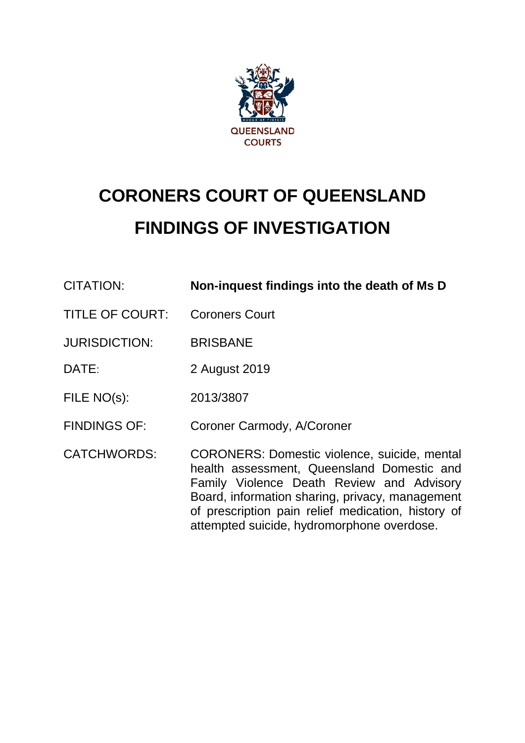

# **CORONERS COURT OF QUEENSLAND FINDINGS OF INVESTIGATION**

| <b>CITATION:</b>       | Non-inquest findings into the death of Ms D                                                                                                                                                                                                                                                           |
|------------------------|-------------------------------------------------------------------------------------------------------------------------------------------------------------------------------------------------------------------------------------------------------------------------------------------------------|
| <b>TITLE OF COURT:</b> | <b>Coroners Court</b>                                                                                                                                                                                                                                                                                 |
| <b>JURISDICTION:</b>   | <b>BRISBANE</b>                                                                                                                                                                                                                                                                                       |
| DATE:                  | 2 August 2019                                                                                                                                                                                                                                                                                         |
| FILE NO(s):            | 2013/3807                                                                                                                                                                                                                                                                                             |
| <b>FINDINGS OF:</b>    | Coroner Carmody, A/Coroner                                                                                                                                                                                                                                                                            |
| <b>CATCHWORDS:</b>     | <b>CORONERS: Domestic violence, suicide, mental</b><br>health assessment, Queensland Domestic and<br>Family Violence Death Review and Advisory<br>Board, information sharing, privacy, management<br>of prescription pain relief medication, history of<br>attempted suicide, hydromorphone overdose. |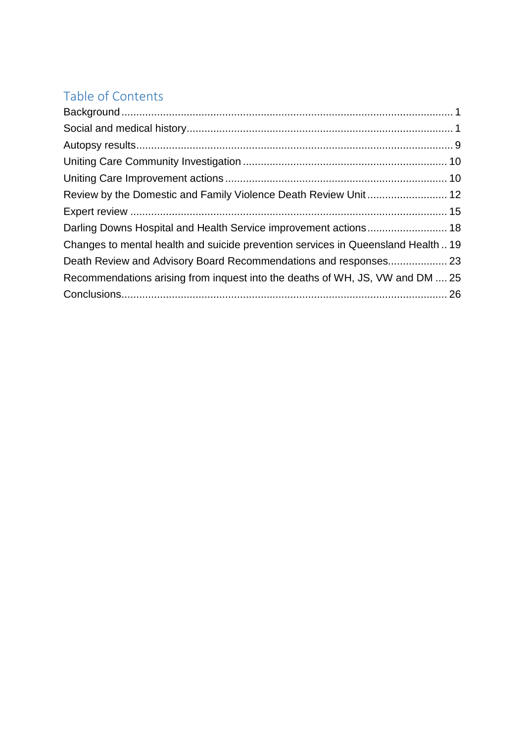# Table of Contents

| Changes to mental health and suicide prevention services in Queensland Health19 |  |
|---------------------------------------------------------------------------------|--|
|                                                                                 |  |
| Recommendations arising from inquest into the deaths of WH, JS, VW and DM  25   |  |
|                                                                                 |  |
|                                                                                 |  |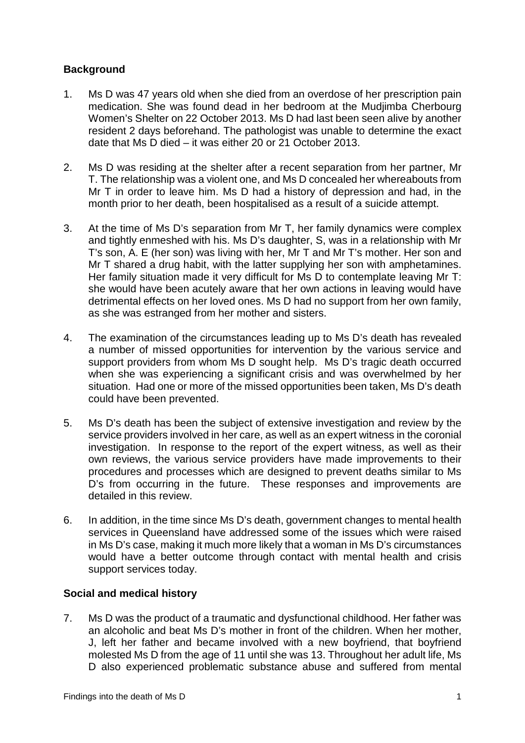# <span id="page-2-0"></span>**Background**

- 1. Ms D was 47 years old when she died from an overdose of her prescription pain medication. She was found dead in her bedroom at the Mudjimba Cherbourg Women's Shelter on 22 October 2013. Ms D had last been seen alive by another resident 2 days beforehand. The pathologist was unable to determine the exact date that Ms D died – it was either 20 or 21 October 2013.
- 2. Ms D was residing at the shelter after a recent separation from her partner, Mr T. The relationship was a violent one, and Ms D concealed her whereabouts from Mr T in order to leave him. Ms D had a history of depression and had, in the month prior to her death, been hospitalised as a result of a suicide attempt.
- 3. At the time of Ms D's separation from Mr T, her family dynamics were complex and tightly enmeshed with his. Ms D's daughter, S, was in a relationship with Mr T's son, A. E (her son) was living with her, Mr T and Mr T's mother. Her son and Mr T shared a drug habit, with the latter supplying her son with amphetamines. Her family situation made it very difficult for Ms D to contemplate leaving Mr T: she would have been acutely aware that her own actions in leaving would have detrimental effects on her loved ones. Ms D had no support from her own family, as she was estranged from her mother and sisters.
- 4. The examination of the circumstances leading up to Ms D's death has revealed a number of missed opportunities for intervention by the various service and support providers from whom Ms D sought help. Ms D's tragic death occurred when she was experiencing a significant crisis and was overwhelmed by her situation. Had one or more of the missed opportunities been taken, Ms D's death could have been prevented.
- 5. Ms D's death has been the subject of extensive investigation and review by the service providers involved in her care, as well as an expert witness in the coronial investigation. In response to the report of the expert witness, as well as their own reviews, the various service providers have made improvements to their procedures and processes which are designed to prevent deaths similar to Ms D's from occurring in the future. These responses and improvements are detailed in this review.
- 6. In addition, in the time since Ms D's death, government changes to mental health services in Queensland have addressed some of the issues which were raised in Ms D's case, making it much more likely that a woman in Ms D's circumstances would have a better outcome through contact with mental health and crisis support services today.

#### <span id="page-2-1"></span>**Social and medical history**

7. Ms D was the product of a traumatic and dysfunctional childhood. Her father was an alcoholic and beat Ms D's mother in front of the children. When her mother, J, left her father and became involved with a new boyfriend, that boyfriend molested Ms D from the age of 11 until she was 13. Throughout her adult life, Ms D also experienced problematic substance abuse and suffered from mental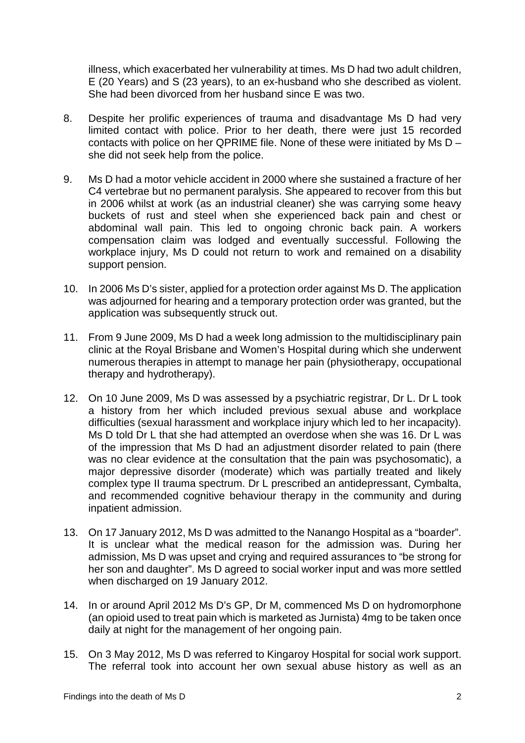illness, which exacerbated her vulnerability at times. Ms D had two adult children, E (20 Years) and S (23 years), to an ex-husband who she described as violent. She had been divorced from her husband since E was two.

- 8. Despite her prolific experiences of trauma and disadvantage Ms D had very limited contact with police. Prior to her death, there were just 15 recorded contacts with police on her QPRIME file. None of these were initiated by Ms D – she did not seek help from the police.
- 9. Ms D had a motor vehicle accident in 2000 where she sustained a fracture of her C4 vertebrae but no permanent paralysis. She appeared to recover from this but in 2006 whilst at work (as an industrial cleaner) she was carrying some heavy buckets of rust and steel when she experienced back pain and chest or abdominal wall pain. This led to ongoing chronic back pain. A workers compensation claim was lodged and eventually successful. Following the workplace injury, Ms D could not return to work and remained on a disability support pension.
- 10. In 2006 Ms D's sister, applied for a protection order against Ms D. The application was adjourned for hearing and a temporary protection order was granted, but the application was subsequently struck out.
- 11. From 9 June 2009, Ms D had a week long admission to the multidisciplinary pain clinic at the Royal Brisbane and Women's Hospital during which she underwent numerous therapies in attempt to manage her pain (physiotherapy, occupational therapy and hydrotherapy).
- 12. On 10 June 2009, Ms D was assessed by a psychiatric registrar, Dr L. Dr L took a history from her which included previous sexual abuse and workplace difficulties (sexual harassment and workplace injury which led to her incapacity). Ms D told Dr L that she had attempted an overdose when she was 16. Dr L was of the impression that Ms D had an adjustment disorder related to pain (there was no clear evidence at the consultation that the pain was psychosomatic), a major depressive disorder (moderate) which was partially treated and likely complex type II trauma spectrum. Dr L prescribed an antidepressant, Cymbalta, and recommended cognitive behaviour therapy in the community and during inpatient admission.
- 13. On 17 January 2012, Ms D was admitted to the Nanango Hospital as a "boarder". It is unclear what the medical reason for the admission was. During her admission, Ms D was upset and crying and required assurances to "be strong for her son and daughter". Ms D agreed to social worker input and was more settled when discharged on 19 January 2012.
- 14. In or around April 2012 Ms D's GP, Dr M, commenced Ms D on hydromorphone (an opioid used to treat pain which is marketed as Jurnista) 4mg to be taken once daily at night for the management of her ongoing pain.
- 15. On 3 May 2012, Ms D was referred to Kingaroy Hospital for social work support. The referral took into account her own sexual abuse history as well as an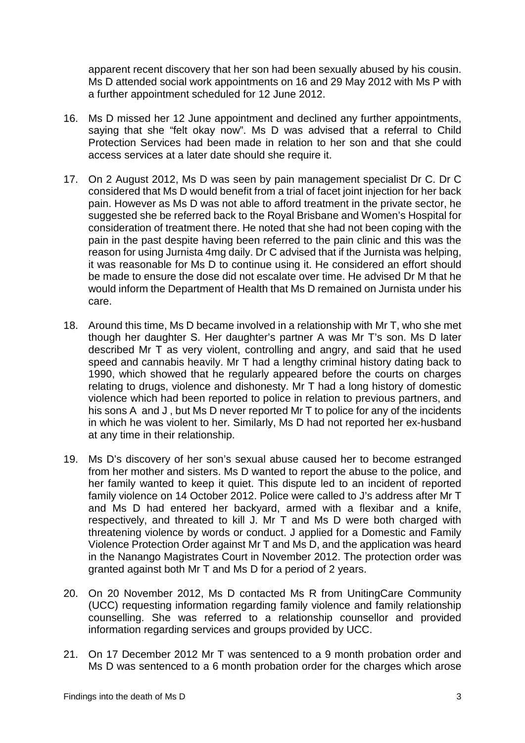apparent recent discovery that her son had been sexually abused by his cousin. Ms D attended social work appointments on 16 and 29 May 2012 with Ms P with a further appointment scheduled for 12 June 2012.

- 16. Ms D missed her 12 June appointment and declined any further appointments, saying that she "felt okay now". Ms D was advised that a referral to Child Protection Services had been made in relation to her son and that she could access services at a later date should she require it.
- 17. On 2 August 2012, Ms D was seen by pain management specialist Dr C. Dr C considered that Ms D would benefit from a trial of facet joint injection for her back pain. However as Ms D was not able to afford treatment in the private sector, he suggested she be referred back to the Royal Brisbane and Women's Hospital for consideration of treatment there. He noted that she had not been coping with the pain in the past despite having been referred to the pain clinic and this was the reason for using Jurnista 4mg daily. Dr C advised that if the Jurnista was helping, it was reasonable for Ms D to continue using it. He considered an effort should be made to ensure the dose did not escalate over time. He advised Dr M that he would inform the Department of Health that Ms D remained on Jurnista under his care.
- 18. Around this time, Ms D became involved in a relationship with Mr T, who she met though her daughter S. Her daughter's partner A was Mr T's son. Ms D later described Mr T as very violent, controlling and angry, and said that he used speed and cannabis heavily. Mr T had a lengthy criminal history dating back to 1990, which showed that he regularly appeared before the courts on charges relating to drugs, violence and dishonesty. Mr T had a long history of domestic violence which had been reported to police in relation to previous partners, and his sons A and J , but Ms D never reported Mr T to police for any of the incidents in which he was violent to her. Similarly, Ms D had not reported her ex-husband at any time in their relationship.
- 19. Ms D's discovery of her son's sexual abuse caused her to become estranged from her mother and sisters. Ms D wanted to report the abuse to the police, and her family wanted to keep it quiet. This dispute led to an incident of reported family violence on 14 October 2012. Police were called to J's address after Mr T and Ms D had entered her backyard, armed with a flexibar and a knife, respectively, and threated to kill J. Mr T and Ms D were both charged with threatening violence by words or conduct. J applied for a Domestic and Family Violence Protection Order against Mr T and Ms D, and the application was heard in the Nanango Magistrates Court in November 2012. The protection order was granted against both Mr T and Ms D for a period of 2 years.
- 20. On 20 November 2012, Ms D contacted Ms R from UnitingCare Community (UCC) requesting information regarding family violence and family relationship counselling. She was referred to a relationship counsellor and provided information regarding services and groups provided by UCC.
- 21. On 17 December 2012 Mr T was sentenced to a 9 month probation order and Ms D was sentenced to a 6 month probation order for the charges which arose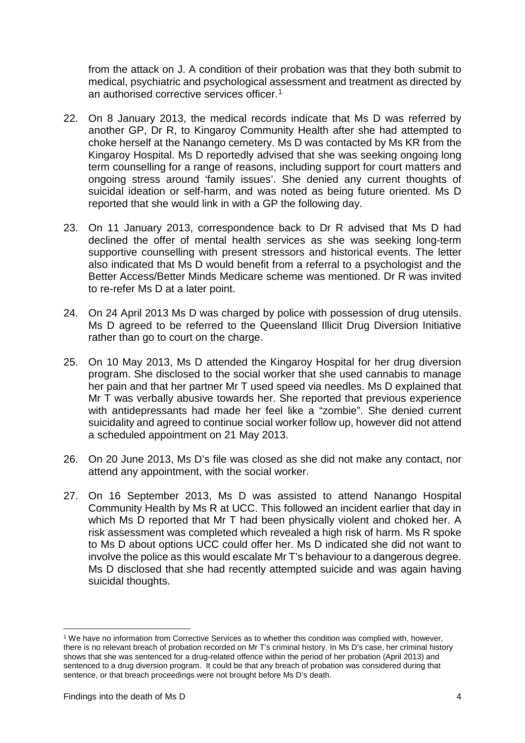from the attack on J. A condition of their probation was that they both submit to medical, psychiatric and psychological assessment and treatment as directed by an authorised corrective services officer.<sup>[1](#page-5-0)</sup>

- 22. On 8 January 2013, the medical records indicate that Ms D was referred by another GP, Dr R, to Kingaroy Community Health after she had attempted to choke herself at the Nanango cemetery. Ms D was contacted by Ms KR from the Kingaroy Hospital. Ms D reportedly advised that she was seeking ongoing long term counselling for a range of reasons, including support for court matters and ongoing stress around 'family issues'. She denied any current thoughts of suicidal ideation or self-harm, and was noted as being future oriented. Ms D reported that she would link in with a GP the following day.
- 23. On 11 January 2013, correspondence back to Dr R advised that Ms D had declined the offer of mental health services as she was seeking long-term supportive counselling with present stressors and historical events. The letter also indicated that Ms D would benefit from a referral to a psychologist and the Better Access/Better Minds Medicare scheme was mentioned. Dr R was invited to re-refer Ms D at a later point.
- 24. On 24 April 2013 Ms D was charged by police with possession of drug utensils. Ms D agreed to be referred to the Queensland Illicit Drug Diversion Initiative rather than go to court on the charge.
- 25. On 10 May 2013, Ms D attended the Kingaroy Hospital for her drug diversion program. She disclosed to the social worker that she used cannabis to manage her pain and that her partner Mr T used speed via needles. Ms D explained that Mr T was verbally abusive towards her. She reported that previous experience with antidepressants had made her feel like a "zombie". She denied current suicidality and agreed to continue social worker follow up, however did not attend a scheduled appointment on 21 May 2013.
- 26. On 20 June 2013, Ms D's file was closed as she did not make any contact, nor attend any appointment, with the social worker.
- 27. On 16 September 2013, Ms D was assisted to attend Nanango Hospital Community Health by Ms R at UCC. This followed an incident earlier that day in which Ms D reported that Mr T had been physically violent and choked her. A risk assessment was completed which revealed a high risk of harm. Ms R spoke to Ms D about options UCC could offer her. Ms D indicated she did not want to involve the police as this would escalate Mr T's behaviour to a dangerous degree. Ms D disclosed that she had recently attempted suicide and was again having suicidal thoughts.

-

<span id="page-5-0"></span><sup>1</sup> We have no information from Corrective Services as to whether this condition was complied with, however, there is no relevant breach of probation recorded on Mr T's criminal history. In Ms D's case, her criminal history shows that she was sentenced for a drug-related offence within the period of her probation (April 2013) and sentenced to a drug diversion program. It could be that any breach of probation was considered during that sentence, or that breach proceedings were not brought before Ms D's death.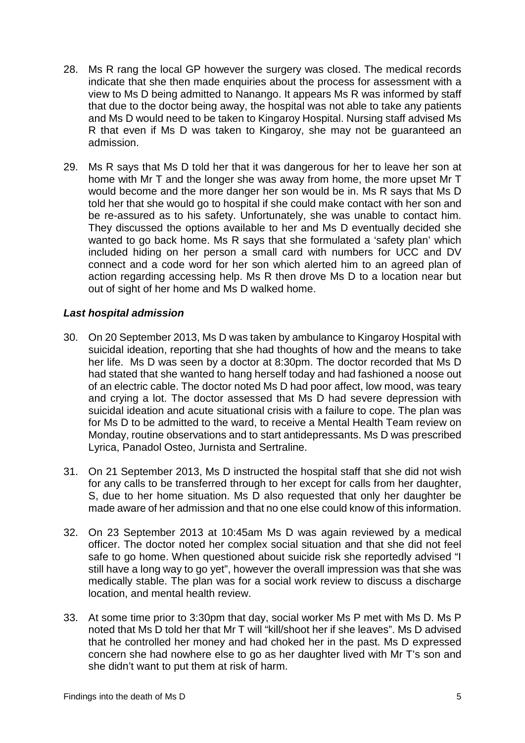- 28. Ms R rang the local GP however the surgery was closed. The medical records indicate that she then made enquiries about the process for assessment with a view to Ms D being admitted to Nanango. It appears Ms R was informed by staff that due to the doctor being away, the hospital was not able to take any patients and Ms D would need to be taken to Kingaroy Hospital. Nursing staff advised Ms R that even if Ms D was taken to Kingaroy, she may not be guaranteed an admission.
- 29. Ms R says that Ms D told her that it was dangerous for her to leave her son at home with Mr T and the longer she was away from home, the more upset Mr T would become and the more danger her son would be in. Ms R says that Ms D told her that she would go to hospital if she could make contact with her son and be re-assured as to his safety. Unfortunately, she was unable to contact him. They discussed the options available to her and Ms D eventually decided she wanted to go back home. Ms R says that she formulated a 'safety plan' which included hiding on her person a small card with numbers for UCC and DV connect and a code word for her son which alerted him to an agreed plan of action regarding accessing help. Ms R then drove Ms D to a location near but out of sight of her home and Ms D walked home.

#### *Last hospital admission*

- 30. On 20 September 2013, Ms D was taken by ambulance to Kingaroy Hospital with suicidal ideation, reporting that she had thoughts of how and the means to take her life. Ms D was seen by a doctor at 8:30pm. The doctor recorded that Ms D had stated that she wanted to hang herself today and had fashioned a noose out of an electric cable. The doctor noted Ms D had poor affect, low mood, was teary and crying a lot. The doctor assessed that Ms D had severe depression with suicidal ideation and acute situational crisis with a failure to cope. The plan was for Ms D to be admitted to the ward, to receive a Mental Health Team review on Monday, routine observations and to start antidepressants. Ms D was prescribed Lyrica, Panadol Osteo, Jurnista and Sertraline.
- 31. On 21 September 2013, Ms D instructed the hospital staff that she did not wish for any calls to be transferred through to her except for calls from her daughter, S, due to her home situation. Ms D also requested that only her daughter be made aware of her admission and that no one else could know of this information.
- 32. On 23 September 2013 at 10:45am Ms D was again reviewed by a medical officer. The doctor noted her complex social situation and that she did not feel safe to go home. When questioned about suicide risk she reportedly advised "I still have a long way to go yet", however the overall impression was that she was medically stable. The plan was for a social work review to discuss a discharge location, and mental health review.
- 33. At some time prior to 3:30pm that day, social worker Ms P met with Ms D. Ms P noted that Ms D told her that Mr T will "kill/shoot her if she leaves". Ms D advised that he controlled her money and had choked her in the past. Ms D expressed concern she had nowhere else to go as her daughter lived with Mr T's son and she didn't want to put them at risk of harm.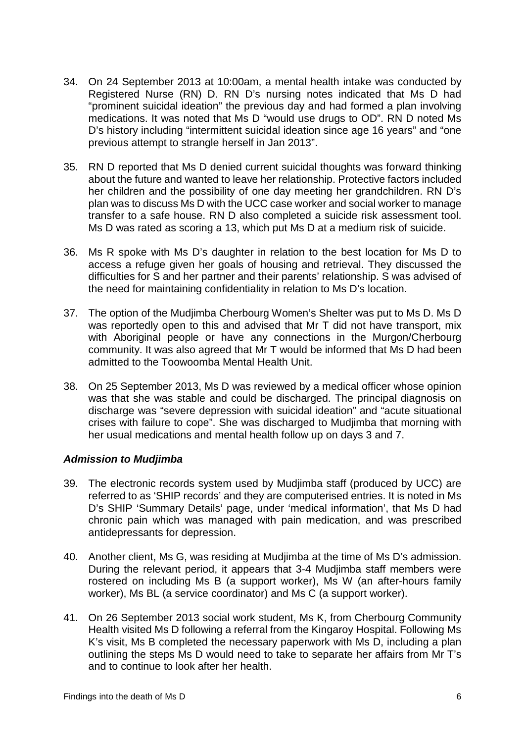- 34. On 24 September 2013 at 10:00am, a mental health intake was conducted by Registered Nurse (RN) D. RN D's nursing notes indicated that Ms D had "prominent suicidal ideation" the previous day and had formed a plan involving medications. It was noted that Ms D "would use drugs to OD". RN D noted Ms D's history including "intermittent suicidal ideation since age 16 years" and "one previous attempt to strangle herself in Jan 2013".
- 35. RN D reported that Ms D denied current suicidal thoughts was forward thinking about the future and wanted to leave her relationship. Protective factors included her children and the possibility of one day meeting her grandchildren. RN D's plan was to discuss Ms D with the UCC case worker and social worker to manage transfer to a safe house. RN D also completed a suicide risk assessment tool. Ms D was rated as scoring a 13, which put Ms D at a medium risk of suicide.
- 36. Ms R spoke with Ms D's daughter in relation to the best location for Ms D to access a refuge given her goals of housing and retrieval. They discussed the difficulties for S and her partner and their parents' relationship. S was advised of the need for maintaining confidentiality in relation to Ms D's location.
- 37. The option of the Mudjimba Cherbourg Women's Shelter was put to Ms D. Ms D was reportedly open to this and advised that Mr T did not have transport, mix with Aboriginal people or have any connections in the Murgon/Cherbourg community. It was also agreed that Mr T would be informed that Ms D had been admitted to the Toowoomba Mental Health Unit.
- 38. On 25 September 2013, Ms D was reviewed by a medical officer whose opinion was that she was stable and could be discharged. The principal diagnosis on discharge was "severe depression with suicidal ideation" and "acute situational crises with failure to cope". She was discharged to Mudjimba that morning with her usual medications and mental health follow up on days 3 and 7.

# *Admission to Mudjimba*

- 39. The electronic records system used by Mudjimba staff (produced by UCC) are referred to as 'SHIP records' and they are computerised entries. It is noted in Ms D's SHIP 'Summary Details' page, under 'medical information', that Ms D had chronic pain which was managed with pain medication, and was prescribed antidepressants for depression.
- 40. Another client, Ms G, was residing at Mudjimba at the time of Ms D's admission. During the relevant period, it appears that 3-4 Mudjimba staff members were rostered on including Ms B (a support worker), Ms W (an after-hours family worker), Ms BL (a service coordinator) and Ms C (a support worker).
- 41. On 26 September 2013 social work student, Ms K, from Cherbourg Community Health visited Ms D following a referral from the Kingaroy Hospital. Following Ms K's visit, Ms B completed the necessary paperwork with Ms D, including a plan outlining the steps Ms D would need to take to separate her affairs from Mr T's and to continue to look after her health.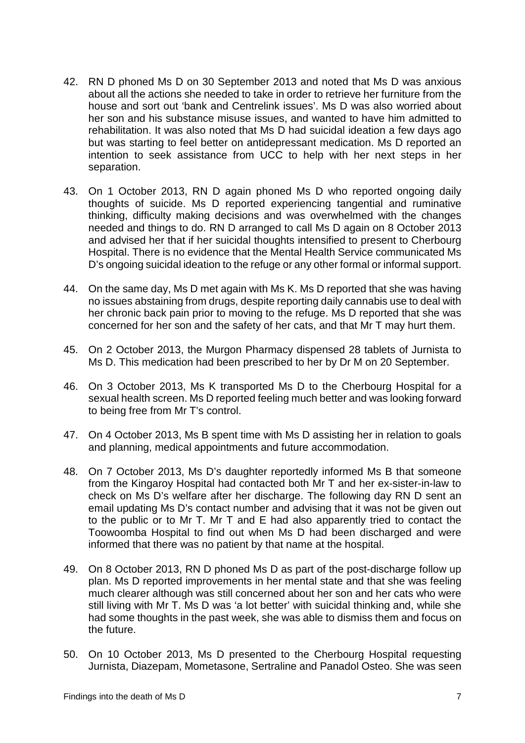- 42. RN D phoned Ms D on 30 September 2013 and noted that Ms D was anxious about all the actions she needed to take in order to retrieve her furniture from the house and sort out 'bank and Centrelink issues'. Ms D was also worried about her son and his substance misuse issues, and wanted to have him admitted to rehabilitation. It was also noted that Ms D had suicidal ideation a few days ago but was starting to feel better on antidepressant medication. Ms D reported an intention to seek assistance from UCC to help with her next steps in her separation.
- 43. On 1 October 2013, RN D again phoned Ms D who reported ongoing daily thoughts of suicide. Ms D reported experiencing tangential and ruminative thinking, difficulty making decisions and was overwhelmed with the changes needed and things to do. RN D arranged to call Ms D again on 8 October 2013 and advised her that if her suicidal thoughts intensified to present to Cherbourg Hospital. There is no evidence that the Mental Health Service communicated Ms D's ongoing suicidal ideation to the refuge or any other formal or informal support.
- 44. On the same day, Ms D met again with Ms K. Ms D reported that she was having no issues abstaining from drugs, despite reporting daily cannabis use to deal with her chronic back pain prior to moving to the refuge. Ms D reported that she was concerned for her son and the safety of her cats, and that Mr T may hurt them.
- 45. On 2 October 2013, the Murgon Pharmacy dispensed 28 tablets of Jurnista to Ms D. This medication had been prescribed to her by Dr M on 20 September.
- 46. On 3 October 2013, Ms K transported Ms D to the Cherbourg Hospital for a sexual health screen. Ms D reported feeling much better and was looking forward to being free from Mr T's control.
- 47. On 4 October 2013, Ms B spent time with Ms D assisting her in relation to goals and planning, medical appointments and future accommodation.
- 48. On 7 October 2013, Ms D's daughter reportedly informed Ms B that someone from the Kingaroy Hospital had contacted both Mr T and her ex-sister-in-law to check on Ms D's welfare after her discharge. The following day RN D sent an email updating Ms D's contact number and advising that it was not be given out to the public or to Mr T. Mr T and E had also apparently tried to contact the Toowoomba Hospital to find out when Ms D had been discharged and were informed that there was no patient by that name at the hospital.
- 49. On 8 October 2013, RN D phoned Ms D as part of the post-discharge follow up plan. Ms D reported improvements in her mental state and that she was feeling much clearer although was still concerned about her son and her cats who were still living with Mr T. Ms D was 'a lot better' with suicidal thinking and, while she had some thoughts in the past week, she was able to dismiss them and focus on the future.
- 50. On 10 October 2013, Ms D presented to the Cherbourg Hospital requesting Jurnista, Diazepam, Mometasone, Sertraline and Panadol Osteo. She was seen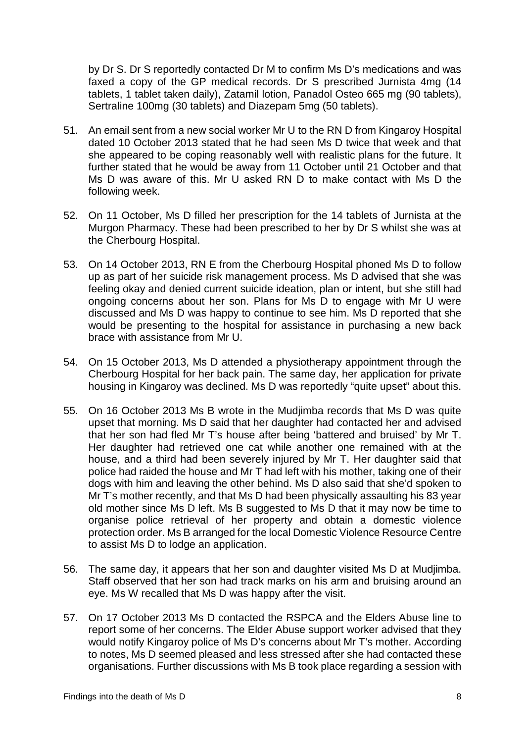by Dr S. Dr S reportedly contacted Dr M to confirm Ms D's medications and was faxed a copy of the GP medical records. Dr S prescribed Jurnista 4mg (14 tablets, 1 tablet taken daily), Zatamil lotion, Panadol Osteo 665 mg (90 tablets), Sertraline 100mg (30 tablets) and Diazepam 5mg (50 tablets).

- 51. An email sent from a new social worker Mr U to the RN D from Kingaroy Hospital dated 10 October 2013 stated that he had seen Ms D twice that week and that she appeared to be coping reasonably well with realistic plans for the future. It further stated that he would be away from 11 October until 21 October and that Ms D was aware of this. Mr U asked RN D to make contact with Ms D the following week.
- 52. On 11 October, Ms D filled her prescription for the 14 tablets of Jurnista at the Murgon Pharmacy. These had been prescribed to her by Dr S whilst she was at the Cherbourg Hospital.
- 53. On 14 October 2013, RN E from the Cherbourg Hospital phoned Ms D to follow up as part of her suicide risk management process. Ms D advised that she was feeling okay and denied current suicide ideation, plan or intent, but she still had ongoing concerns about her son. Plans for Ms D to engage with Mr U were discussed and Ms D was happy to continue to see him. Ms D reported that she would be presenting to the hospital for assistance in purchasing a new back brace with assistance from Mr U.
- 54. On 15 October 2013, Ms D attended a physiotherapy appointment through the Cherbourg Hospital for her back pain. The same day, her application for private housing in Kingaroy was declined. Ms D was reportedly "quite upset" about this.
- 55. On 16 October 2013 Ms B wrote in the Mudjimba records that Ms D was quite upset that morning. Ms D said that her daughter had contacted her and advised that her son had fled Mr T's house after being 'battered and bruised' by Mr T. Her daughter had retrieved one cat while another one remained with at the house, and a third had been severely injured by Mr T. Her daughter said that police had raided the house and Mr T had left with his mother, taking one of their dogs with him and leaving the other behind. Ms D also said that she'd spoken to Mr T's mother recently, and that Ms D had been physically assaulting his 83 year old mother since Ms D left. Ms B suggested to Ms D that it may now be time to organise police retrieval of her property and obtain a domestic violence protection order. Ms B arranged for the local Domestic Violence Resource Centre to assist Ms D to lodge an application.
- 56. The same day, it appears that her son and daughter visited Ms D at Mudjimba. Staff observed that her son had track marks on his arm and bruising around an eye. Ms W recalled that Ms D was happy after the visit.
- 57. On 17 October 2013 Ms D contacted the RSPCA and the Elders Abuse line to report some of her concerns. The Elder Abuse support worker advised that they would notify Kingaroy police of Ms D's concerns about Mr T's mother. According to notes, Ms D seemed pleased and less stressed after she had contacted these organisations. Further discussions with Ms B took place regarding a session with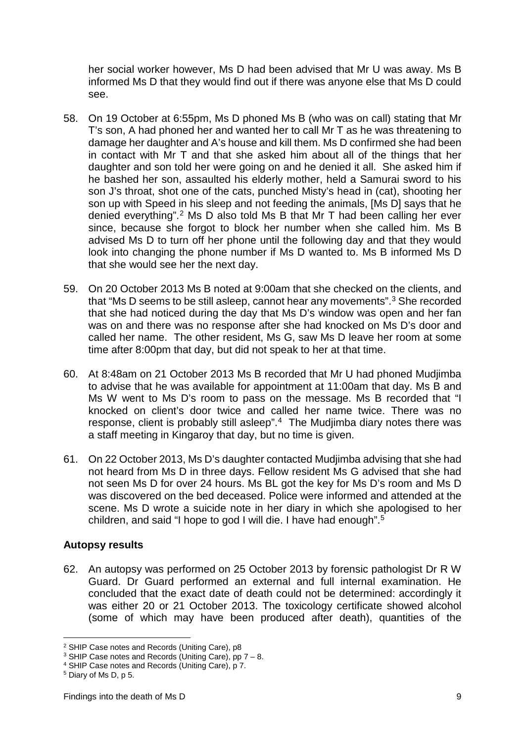her social worker however, Ms D had been advised that Mr U was away. Ms B informed Ms D that they would find out if there was anyone else that Ms D could see.

- 58. On 19 October at 6:55pm, Ms D phoned Ms B (who was on call) stating that Mr T's son, A had phoned her and wanted her to call Mr T as he was threatening to damage her daughter and A's house and kill them. Ms D confirmed she had been in contact with Mr T and that she asked him about all of the things that her daughter and son told her were going on and he denied it all. She asked him if he bashed her son, assaulted his elderly mother, held a Samurai sword to his son J's throat, shot one of the cats, punched Misty's head in (cat), shooting her son up with Speed in his sleep and not feeding the animals, [Ms D] says that he denied everything".[2](#page-10-1) Ms D also told Ms B that Mr T had been calling her ever since, because she forgot to block her number when she called him. Ms B advised Ms D to turn off her phone until the following day and that they would look into changing the phone number if Ms D wanted to. Ms B informed Ms D that she would see her the next day.
- 59. On 20 October 2013 Ms B noted at 9:00am that she checked on the clients, and that "Ms D seems to be still asleep, cannot hear any movements".<sup>3</sup> She recorded that she had noticed during the day that Ms D's window was open and her fan was on and there was no response after she had knocked on Ms D's door and called her name. The other resident, Ms G, saw Ms D leave her room at some time after 8:00pm that day, but did not speak to her at that time.
- 60. At 8:48am on 21 October 2013 Ms B recorded that Mr U had phoned Mudjimba to advise that he was available for appointment at 11:00am that day. Ms B and Ms W went to Ms D's room to pass on the message. Ms B recorded that "I knocked on client's door twice and called her name twice. There was no response, client is probably still asleep".[4](#page-10-3) The Mudjimba diary notes there was a staff meeting in Kingaroy that day, but no time is given.
- 61. On 22 October 2013, Ms D's daughter contacted Mudjimba advising that she had not heard from Ms D in three days. Fellow resident Ms G advised that she had not seen Ms D for over 24 hours. Ms BL got the key for Ms D's room and Ms D was discovered on the bed deceased. Police were informed and attended at the scene. Ms D wrote a suicide note in her diary in which she apologised to her children, and said "I hope to god I will die. I have had enough".[5](#page-10-4)

#### <span id="page-10-0"></span>**Autopsy results**

62. An autopsy was performed on 25 October 2013 by forensic pathologist Dr R W Guard. Dr Guard performed an external and full internal examination. He concluded that the exact date of death could not be determined: accordingly it was either 20 or 21 October 2013. The toxicology certificate showed alcohol (some of which may have been produced after death), quantities of the

<u>.</u>

<span id="page-10-1"></span><sup>2</sup> SHIP Case notes and Records (Uniting Care), p8

<span id="page-10-2"></span><sup>&</sup>lt;sup>3</sup> SHIP Case notes and Records (Uniting Care), pp  $7 - 8$ .

<span id="page-10-3"></span><sup>4</sup> SHIP Case notes and Records (Uniting Care), p 7.

<span id="page-10-4"></span><sup>5</sup> Diary of Ms D, p 5.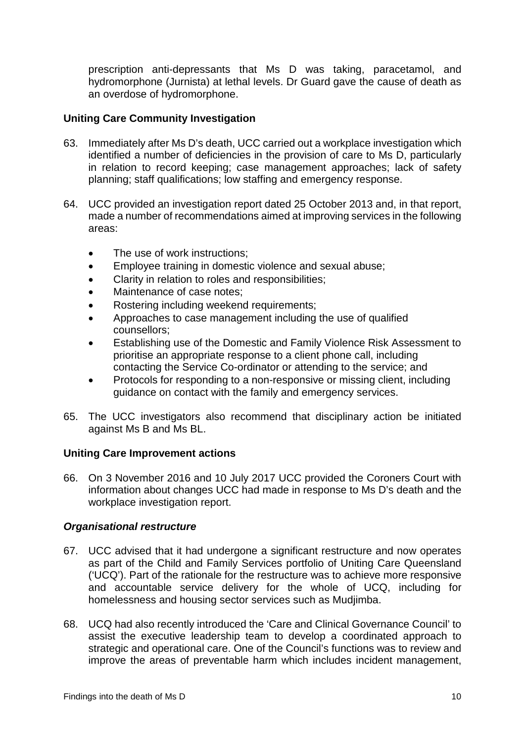prescription anti-depressants that Ms D was taking, paracetamol, and hydromorphone (Jurnista) at lethal levels. Dr Guard gave the cause of death as an overdose of hydromorphone.

# <span id="page-11-0"></span>**Uniting Care Community Investigation**

- 63. Immediately after Ms D's death, UCC carried out a workplace investigation which identified a number of deficiencies in the provision of care to Ms D, particularly in relation to record keeping; case management approaches; lack of safety planning; staff qualifications; low staffing and emergency response.
- 64. UCC provided an investigation report dated 25 October 2013 and, in that report, made a number of recommendations aimed at improving services in the following areas:
	- The use of work instructions:
	- Employee training in domestic violence and sexual abuse;
	- Clarity in relation to roles and responsibilities;
	- Maintenance of case notes;
	- Rostering including weekend requirements;
	- Approaches to case management including the use of qualified counsellors;
	- Establishing use of the Domestic and Family Violence Risk Assessment to prioritise an appropriate response to a client phone call, including contacting the Service Co-ordinator or attending to the service; and
	- Protocols for responding to a non-responsive or missing client, including guidance on contact with the family and emergency services.
- 65. The UCC investigators also recommend that disciplinary action be initiated against Ms B and Ms BL.

#### <span id="page-11-1"></span>**Uniting Care Improvement actions**

66. On 3 November 2016 and 10 July 2017 UCC provided the Coroners Court with information about changes UCC had made in response to Ms D's death and the workplace investigation report.

#### *Organisational restructure*

- 67. UCC advised that it had undergone a significant restructure and now operates as part of the Child and Family Services portfolio of Uniting Care Queensland ('UCQ'). Part of the rationale for the restructure was to achieve more responsive and accountable service delivery for the whole of UCQ, including for homelessness and housing sector services such as Mudjimba.
- 68. UCQ had also recently introduced the 'Care and Clinical Governance Council' to assist the executive leadership team to develop a coordinated approach to strategic and operational care. One of the Council's functions was to review and improve the areas of preventable harm which includes incident management,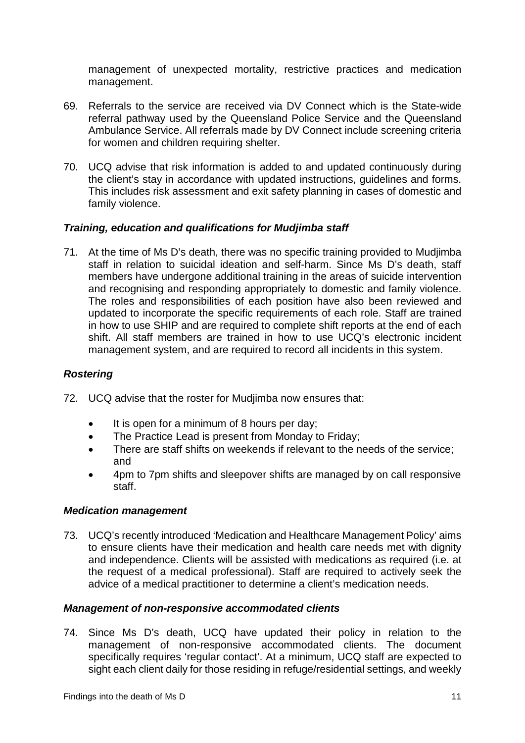management of unexpected mortality, restrictive practices and medication management.

- 69. Referrals to the service are received via DV Connect which is the State-wide referral pathway used by the Queensland Police Service and the Queensland Ambulance Service. All referrals made by DV Connect include screening criteria for women and children requiring shelter.
- 70. UCQ advise that risk information is added to and updated continuously during the client's stay in accordance with updated instructions, guidelines and forms. This includes risk assessment and exit safety planning in cases of domestic and family violence.

# *Training, education and qualifications for Mudjimba staff*

71. At the time of Ms D's death, there was no specific training provided to Mudjimba staff in relation to suicidal ideation and self-harm. Since Ms D's death, staff members have undergone additional training in the areas of suicide intervention and recognising and responding appropriately to domestic and family violence. The roles and responsibilities of each position have also been reviewed and updated to incorporate the specific requirements of each role. Staff are trained in how to use SHIP and are required to complete shift reports at the end of each shift. All staff members are trained in how to use UCQ's electronic incident management system, and are required to record all incidents in this system.

# *Rostering*

- 72. UCQ advise that the roster for Mudjimba now ensures that:
	- It is open for a minimum of 8 hours per day;
	- The Practice Lead is present from Monday to Friday;
	- There are staff shifts on weekends if relevant to the needs of the service; and
	- 4pm to 7pm shifts and sleepover shifts are managed by on call responsive staff.

#### *Medication management*

73. UCQ's recently introduced 'Medication and Healthcare Management Policy' aims to ensure clients have their medication and health care needs met with dignity and independence. Clients will be assisted with medications as required (i.e. at the request of a medical professional). Staff are required to actively seek the advice of a medical practitioner to determine a client's medication needs.

#### *Management of non-responsive accommodated clients*

74. Since Ms D's death, UCQ have updated their policy in relation to the management of non-responsive accommodated clients. The document specifically requires 'regular contact'. At a minimum, UCQ staff are expected to sight each client daily for those residing in refuge/residential settings, and weekly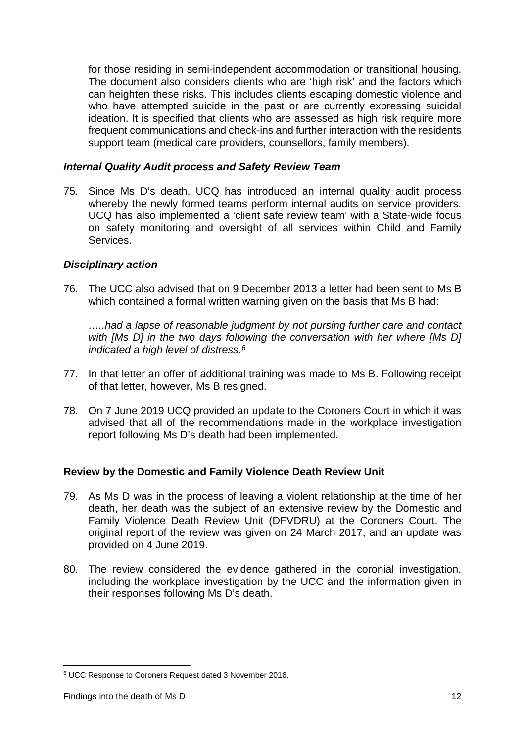for those residing in semi-independent accommodation or transitional housing. The document also considers clients who are 'high risk' and the factors which can heighten these risks. This includes clients escaping domestic violence and who have attempted suicide in the past or are currently expressing suicidal ideation. It is specified that clients who are assessed as high risk require more frequent communications and check-ins and further interaction with the residents support team (medical care providers, counsellors, family members).

### *Internal Quality Audit process and Safety Review Team*

75. Since Ms D's death, UCQ has introduced an internal quality audit process whereby the newly formed teams perform internal audits on service providers. UCQ has also implemented a 'client safe review team' with a State-wide focus on safety monitoring and oversight of all services within Child and Family Services.

# *Disciplinary action*

76. The UCC also advised that on 9 December 2013 a letter had been sent to Ms B which contained a formal written warning given on the basis that Ms B had:

*…..had a lapse of reasonable judgment by not pursing further care and contact*  with [Ms D] in the two days following the conversation with her where [Ms D] *indicated a high level of distress.[6](#page-13-1)*

- 77. In that letter an offer of additional training was made to Ms B. Following receipt of that letter, however, Ms B resigned.
- 78. On 7 June 2019 UCQ provided an update to the Coroners Court in which it was advised that all of the recommendations made in the workplace investigation report following Ms D's death had been implemented.

# <span id="page-13-0"></span>**Review by the Domestic and Family Violence Death Review Unit**

- 79. As Ms D was in the process of leaving a violent relationship at the time of her death, her death was the subject of an extensive review by the Domestic and Family Violence Death Review Unit (DFVDRU) at the Coroners Court. The original report of the review was given on 24 March 2017, and an update was provided on 4 June 2019.
- 80. The review considered the evidence gathered in the coronial investigation, including the workplace investigation by the UCC and the information given in their responses following Ms D's death.

<span id="page-13-1"></span><sup>6</sup> UCC Response to Coroners Request dated 3 November 2016. <u>.</u>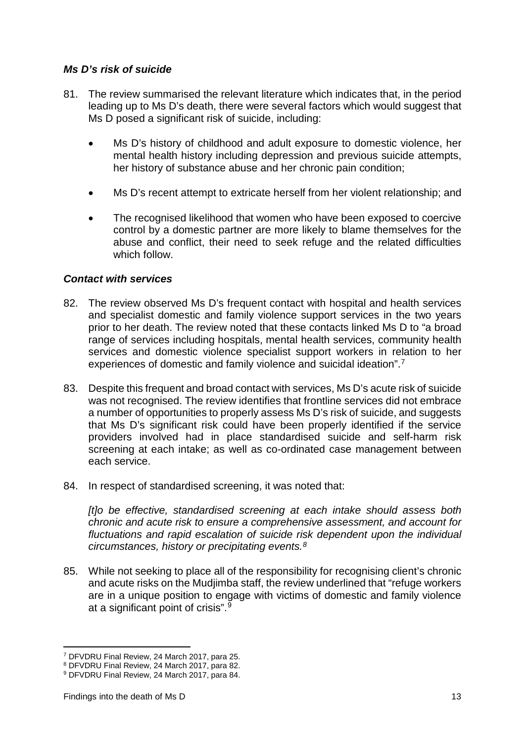# *Ms D's risk of suicide*

- 81. The review summarised the relevant literature which indicates that, in the period leading up to Ms D's death, there were several factors which would suggest that Ms D posed a significant risk of suicide, including:
	- Ms D's history of childhood and adult exposure to domestic violence, her mental health history including depression and previous suicide attempts, her history of substance abuse and her chronic pain condition;
	- Ms D's recent attempt to extricate herself from her violent relationship; and
	- The recognised likelihood that women who have been exposed to coercive control by a domestic partner are more likely to blame themselves for the abuse and conflict, their need to seek refuge and the related difficulties which follow.

#### *Contact with services*

- 82. The review observed Ms D's frequent contact with hospital and health services and specialist domestic and family violence support services in the two years prior to her death. The review noted that these contacts linked Ms D to "a broad range of services including hospitals, mental health services, community health services and domestic violence specialist support workers in relation to her experiences of domestic and family violence and suicidal ideation".[7](#page-14-0)
- 83. Despite this frequent and broad contact with services, Ms D's acute risk of suicide was not recognised. The review identifies that frontline services did not embrace a number of opportunities to properly assess Ms D's risk of suicide, and suggests that Ms D's significant risk could have been properly identified if the service providers involved had in place standardised suicide and self-harm risk screening at each intake; as well as co-ordinated case management between each service.
- 84. In respect of standardised screening, it was noted that:

*[t]o be effective, standardised screening at each intake should assess both chronic and acute risk to ensure a comprehensive assessment, and account for fluctuations and rapid escalation of suicide risk dependent upon the individual circumstances, history or precipitating events.[8](#page-14-1)*

85. While not seeking to place all of the responsibility for recognising client's chronic and acute risks on the Mudjimba staff, the review underlined that "refuge workers are in a unique position to engage with victims of domestic and family violence at a significant point of crisis".[9](#page-14-2)

-

<span id="page-14-0"></span><sup>7</sup> DFVDRU Final Review, 24 March 2017, para 25.

<span id="page-14-1"></span><sup>8</sup> DFVDRU Final Review, 24 March 2017, para 82.

<span id="page-14-2"></span><sup>9</sup> DFVDRU Final Review, 24 March 2017, para 84.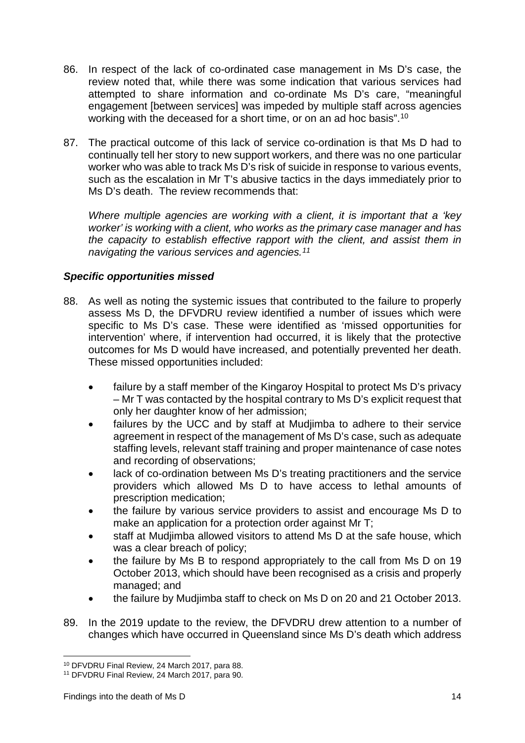- 86. In respect of the lack of co-ordinated case management in Ms D's case, the review noted that, while there was some indication that various services had attempted to share information and co-ordinate Ms D's care, "meaningful engagement [between services] was impeded by multiple staff across agencies working with the deceased for a short time, or on an ad hoc basis".<sup>[10](#page-15-0)</sup>
- 87. The practical outcome of this lack of service co-ordination is that Ms D had to continually tell her story to new support workers, and there was no one particular worker who was able to track Ms D's risk of suicide in response to various events, such as the escalation in Mr T's abusive tactics in the days immediately prior to Ms D's death. The review recommends that:

*Where multiple agencies are working with a client, it is important that a 'key worker' is working with a client, who works as the primary case manager and has the capacity to establish effective rapport with the client, and assist them in navigating the various services and agencies.[11](#page-15-1)*

# *Specific opportunities missed*

- 88. As well as noting the systemic issues that contributed to the failure to properly assess Ms D, the DFVDRU review identified a number of issues which were specific to Ms D's case. These were identified as 'missed opportunities for intervention' where, if intervention had occurred, it is likely that the protective outcomes for Ms D would have increased, and potentially prevented her death. These missed opportunities included:
	- failure by a staff member of the Kingaroy Hospital to protect Ms D's privacy – Mr T was contacted by the hospital contrary to Ms D's explicit request that only her daughter know of her admission;
	- failures by the UCC and by staff at Mudjimba to adhere to their service agreement in respect of the management of Ms D's case, such as adequate staffing levels, relevant staff training and proper maintenance of case notes and recording of observations;
	- lack of co-ordination between Ms D's treating practitioners and the service providers which allowed Ms D to have access to lethal amounts of prescription medication;
	- the failure by various service providers to assist and encourage Ms D to make an application for a protection order against Mr T;
	- staff at Mudjimba allowed visitors to attend Ms D at the safe house, which was a clear breach of policy;
	- the failure by Ms B to respond appropriately to the call from Ms D on 19 October 2013, which should have been recognised as a crisis and properly managed; and
	- the failure by Mudjimba staff to check on Ms D on 20 and 21 October 2013.
- 89. In the 2019 update to the review, the DFVDRU drew attention to a number of changes which have occurred in Queensland since Ms D's death which address

<sup>10</sup> DFVDRU Final Review, 24 March 2017, para 88. <u>.</u>

<span id="page-15-1"></span><span id="page-15-0"></span><sup>11</sup> DFVDRU Final Review, 24 March 2017, para 90.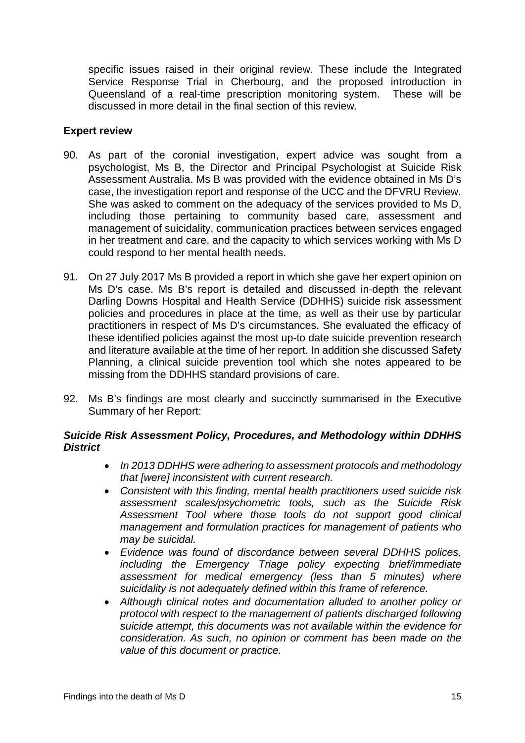specific issues raised in their original review. These include the Integrated Service Response Trial in Cherbourg, and the proposed introduction in Queensland of a real-time prescription monitoring system. These will be discussed in more detail in the final section of this review.

### <span id="page-16-0"></span>**Expert review**

- 90. As part of the coronial investigation, expert advice was sought from a psychologist, Ms B, the Director and Principal Psychologist at Suicide Risk Assessment Australia. Ms B was provided with the evidence obtained in Ms D's case, the investigation report and response of the UCC and the DFVRU Review. She was asked to comment on the adequacy of the services provided to Ms D, including those pertaining to community based care, assessment and management of suicidality, communication practices between services engaged in her treatment and care, and the capacity to which services working with Ms D could respond to her mental health needs.
- 91. On 27 July 2017 Ms B provided a report in which she gave her expert opinion on Ms D's case. Ms B's report is detailed and discussed in-depth the relevant Darling Downs Hospital and Health Service (DDHHS) suicide risk assessment policies and procedures in place at the time, as well as their use by particular practitioners in respect of Ms D's circumstances. She evaluated the efficacy of these identified policies against the most up-to date suicide prevention research and literature available at the time of her report. In addition she discussed Safety Planning, a clinical suicide prevention tool which she notes appeared to be missing from the DDHHS standard provisions of care.
- 92. Ms B's findings are most clearly and succinctly summarised in the Executive Summary of her Report:

# *Suicide Risk Assessment Policy, Procedures, and Methodology within DDHHS District*

- *In 2013 DDHHS were adhering to assessment protocols and methodology that [were] inconsistent with current research.*
- *Consistent with this finding, mental health practitioners used suicide risk assessment scales/psychometric tools, such as the Suicide Risk Assessment Tool where those tools do not support good clinical management and formulation practices for management of patients who may be suicidal.*
- *Evidence was found of discordance between several DDHHS polices, including the Emergency Triage policy expecting brief/immediate assessment for medical emergency (less than 5 minutes) where suicidality is not adequately defined within this frame of reference.*
- *Although clinical notes and documentation alluded to another policy or protocol with respect to the management of patients discharged following suicide attempt, this documents was not available within the evidence for consideration. As such, no opinion or comment has been made on the value of this document or practice.*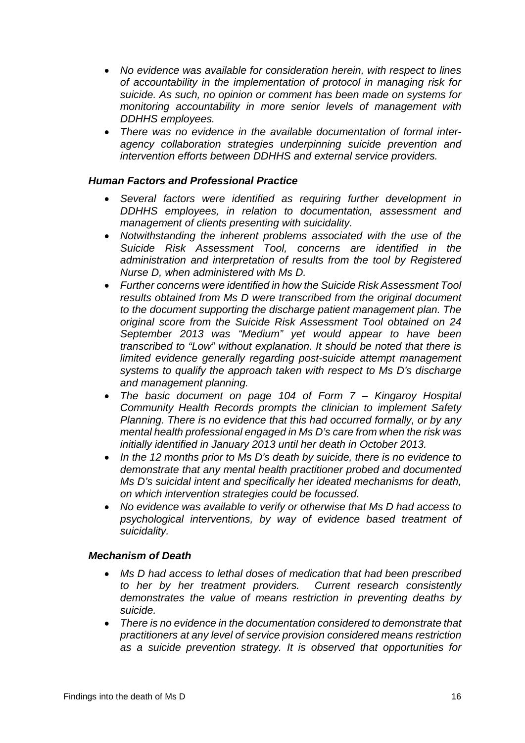- *No evidence was available for consideration herein, with respect to lines of accountability in the implementation of protocol in managing risk for suicide. As such, no opinion or comment has been made on systems for monitoring accountability in more senior levels of management with DDHHS employees.*
- *There was no evidence in the available documentation of formal interagency collaboration strategies underpinning suicide prevention and intervention efforts between DDHHS and external service providers.*

#### *Human Factors and Professional Practice*

- *Several factors were identified as requiring further development in DDHHS employees, in relation to documentation, assessment and management of clients presenting with suicidality.*
- *Notwithstanding the inherent problems associated with the use of the Suicide Risk Assessment Tool, concerns are identified in the administration and interpretation of results from the tool by Registered Nurse D, when administered with Ms D.*
- *Further concerns were identified in how the Suicide Risk Assessment Tool results obtained from Ms D were transcribed from the original document to the document supporting the discharge patient management plan. The original score from the Suicide Risk Assessment Tool obtained on 24 September 2013 was "Medium" yet would appear to have been transcribed to "Low" without explanation. It should be noted that there is limited evidence generally regarding post-suicide attempt management systems to qualify the approach taken with respect to Ms D's discharge and management planning.*
- *The basic document on page 104 of Form 7 – Kingaroy Hospital Community Health Records prompts the clinician to implement Safety Planning. There is no evidence that this had occurred formally, or by any mental health professional engaged in Ms D's care from when the risk was initially identified in January 2013 until her death in October 2013.*
- *In the 12 months prior to Ms D's death by suicide, there is no evidence to demonstrate that any mental health practitioner probed and documented Ms D's suicidal intent and specifically her ideated mechanisms for death, on which intervention strategies could be focussed.*
- *No evidence was available to verify or otherwise that Ms D had access to psychological interventions, by way of evidence based treatment of suicidality.*

#### *Mechanism of Death*

- *Ms D had access to lethal doses of medication that had been prescribed to her by her treatment providers. Current research consistently demonstrates the value of means restriction in preventing deaths by suicide.*
- *There is no evidence in the documentation considered to demonstrate that practitioners at any level of service provision considered means restriction as a suicide prevention strategy. It is observed that opportunities for*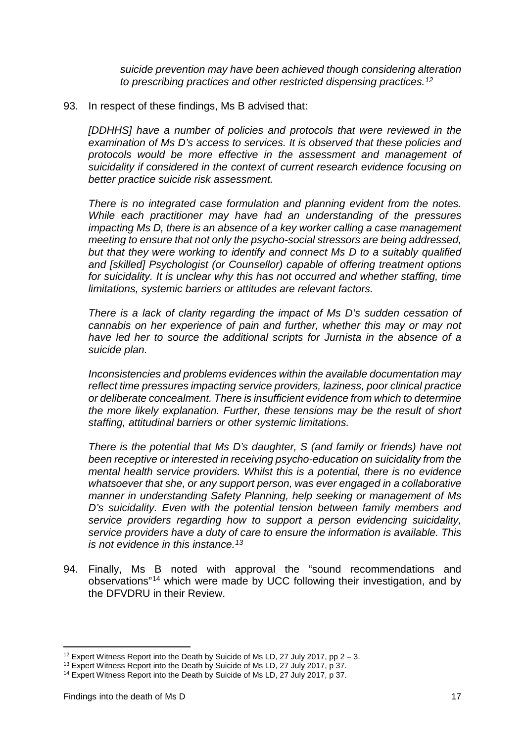*suicide prevention may have been achieved though considering alteration to prescribing practices and other restricted dispensing practices.[12](#page-18-0)*

#### 93. In respect of these findings, Ms B advised that:

*[DDHHS] have a number of policies and protocols that were reviewed in the examination of Ms D's access to services. It is observed that these policies and protocols would be more effective in the assessment and management of suicidality if considered in the context of current research evidence focusing on better practice suicide risk assessment.*

*There is no integrated case formulation and planning evident from the notes. While each practitioner may have had an understanding of the pressures impacting Ms D, there is an absence of a key worker calling a case management meeting to ensure that not only the psycho-social stressors are being addressed, but that they were working to identify and connect Ms D to a suitably qualified and [skilled] Psychologist (or Counsellor) capable of offering treatment options*  for suicidality. It is unclear why this has not occurred and whether staffing, time *limitations, systemic barriers or attitudes are relevant factors.*

*There is a lack of clarity regarding the impact of Ms D's sudden cessation of cannabis on her experience of pain and further, whether this may or may not have led her to source the additional scripts for Jurnista in the absence of a suicide plan.*

*Inconsistencies and problems evidences within the available documentation may reflect time pressures impacting service providers, laziness, poor clinical practice or deliberate concealment. There is insufficient evidence from which to determine the more likely explanation. Further, these tensions may be the result of short staffing, attitudinal barriers or other systemic limitations.*

*There is the potential that Ms D's daughter, S (and family or friends) have not been receptive or interested in receiving psycho-education on suicidality from the mental health service providers. Whilst this is a potential, there is no evidence whatsoever that she, or any support person, was ever engaged in a collaborative manner in understanding Safety Planning, help seeking or management of Ms D's suicidality. Even with the potential tension between family members and service providers regarding how to support a person evidencing suicidality, service providers have a duty of care to ensure the information is available. This is not evidence in this instance.[13](#page-18-1)*

94. Finally, Ms B noted with approval the "sound recommendations and observations"[14](#page-18-2) which were made by UCC following their investigation, and by the DFVDRU in their Review.

-

<span id="page-18-0"></span><sup>&</sup>lt;sup>12</sup> Expert Witness Report into the Death by Suicide of Ms LD, 27 July 2017, pp  $2 - 3$ .

<span id="page-18-1"></span><sup>&</sup>lt;sup>13</sup> Expert Witness Report into the Death by Suicide of Ms LD, 27 July 2017, p 37.

<span id="page-18-2"></span><sup>&</sup>lt;sup>14</sup> Expert Witness Report into the Death by Suicide of Ms LD, 27 July 2017, p 37.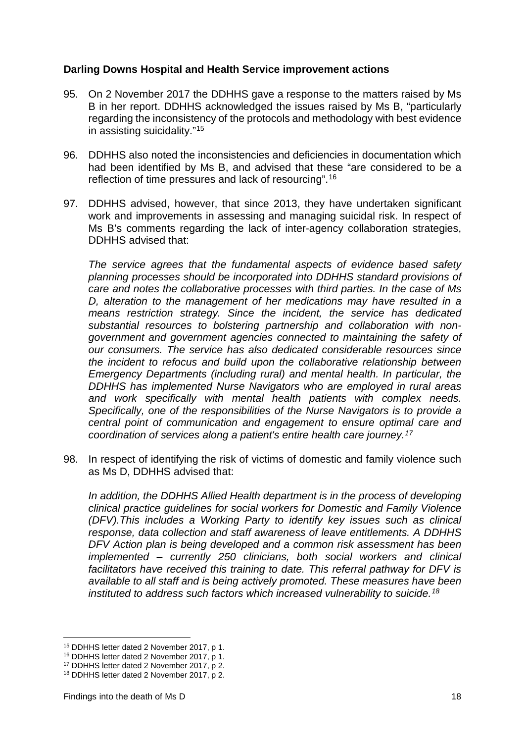#### <span id="page-19-0"></span>**Darling Downs Hospital and Health Service improvement actions**

- 95. On 2 November 2017 the DDHHS gave a response to the matters raised by Ms B in her report. DDHHS acknowledged the issues raised by Ms B, "particularly regarding the inconsistency of the protocols and methodology with best evidence in assisting suicidality."[15](#page-19-1)
- 96. DDHHS also noted the inconsistencies and deficiencies in documentation which had been identified by Ms B, and advised that these "are considered to be a reflection of time pressures and lack of resourcing".[16](#page-19-2)
- 97. DDHHS advised, however, that since 2013, they have undertaken significant work and improvements in assessing and managing suicidal risk. In respect of Ms B's comments regarding the lack of inter-agency collaboration strategies, DDHHS advised that:

*The service agrees that the fundamental aspects of evidence based safety planning processes should be incorporated into DDHHS standard provisions of care and notes the collaborative processes with third parties. In the case of Ms D, alteration to the management of her medications may have resulted in a means restriction strategy. Since the incident, the service has dedicated substantial resources to bolstering partnership and collaboration with nongovernment and government agencies connected to maintaining the safety of our consumers. The service has also dedicated considerable resources since the incident to refocus and build upon the collaborative relationship between Emergency Departments (including rural) and mental health. In particular, the DDHHS has implemented Nurse Navigators who are employed in rural areas and work specifically with mental health patients with complex needs. Specifically, one of the responsibilities of the Nurse Navigators is to provide a central point of communication and engagement to ensure optimal care and coordination of services along a patient's entire health care journey.[17](#page-19-3)*

98. In respect of identifying the risk of victims of domestic and family violence such as Ms D, DDHHS advised that:

*In addition, the DDHHS Allied Health department is in the process of developing clinical practice guidelines for social workers for Domestic and Family Violence (DFV).This includes a Working Party to identify key issues such as clinical response, data collection and staff awareness of leave entitlements. A DDHHS DFV Action plan is being developed and a common risk assessment has been implemented – currently 250 clinicians, both social workers and clinical facilitators have received this training to date. This referral pathway for DFV is available to all staff and is being actively promoted. These measures have been instituted to address such factors which increased vulnerability to suicide.[18](#page-19-4)*

<u>.</u>

<span id="page-19-1"></span><sup>15</sup> DDHHS letter dated 2 November 2017, p 1.

<span id="page-19-2"></span><sup>16</sup> DDHHS letter dated 2 November 2017, p 1.

<sup>17</sup> DDHHS letter dated 2 November 2017, p 2.

<span id="page-19-4"></span><span id="page-19-3"></span><sup>18</sup> DDHHS letter dated 2 November 2017, p 2.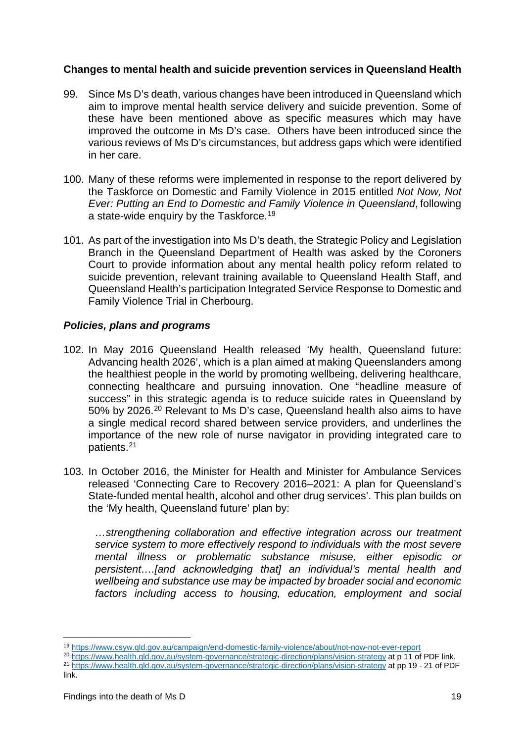# <span id="page-20-0"></span>**Changes to mental health and suicide prevention services in Queensland Health**

- 99. Since Ms D's death, various changes have been introduced in Queensland which aim to improve mental health service delivery and suicide prevention. Some of these have been mentioned above as specific measures which may have improved the outcome in Ms D's case. Others have been introduced since the various reviews of Ms D's circumstances, but address gaps which were identified in her care.
- 100. Many of these reforms were implemented in response to the report delivered by the Taskforce on Domestic and Family Violence in 2015 entitled *Not Now, Not Ever: Putting an End to Domestic and Family Violence in Queensland*, following a state-wide enquiry by the Taskforce.<sup>[19](#page-20-1)</sup>
- 101. As part of the investigation into Ms D's death, the Strategic Policy and Legislation Branch in the Queensland Department of Health was asked by the Coroners Court to provide information about any mental health policy reform related to suicide prevention, relevant training available to Queensland Health Staff, and Queensland Health's participation Integrated Service Response to Domestic and Family Violence Trial in Cherbourg.

#### *Policies, plans and programs*

- 102. In May 2016 Queensland Health released 'My health, Queensland future: Advancing health 2026', which is a plan aimed at making Queenslanders among the healthiest people in the world by promoting wellbeing, delivering healthcare, connecting healthcare and pursuing innovation. One "headline measure of success" in this strategic agenda is to reduce suicide rates in Queensland by 50% by 2026.[20](#page-20-2) Relevant to Ms D's case, Queensland health also aims to have a single medical record shared between service providers, and underlines the importance of the new role of nurse navigator in providing integrated care to patients.[21](#page-20-3)
- 103. In October 2016, the Minister for Health and Minister for Ambulance Services released 'Connecting Care to Recovery 2016–2021: A plan for Queensland's State-funded mental health, alcohol and other drug services'. This plan builds on the 'My health, Queensland future' plan by:

*…strengthening collaboration and effective integration across our treatment service system to more effectively respond to individuals with the most severe mental illness or problematic substance misuse, either episodic or persistent….[and acknowledging that] an individual's mental health and wellbeing and substance use may be impacted by broader social and economic factors including access to housing, education, employment and social* 

- <span id="page-20-2"></span><span id="page-20-1"></span><sup>20</sup> <https://www.health.qld.gov.au/system-governance/strategic-direction/plans/vision-strategy> at p 11 of PDF link.
- <span id="page-20-3"></span><sup>21</sup> <https://www.health.qld.gov.au/system-governance/strategic-direction/plans/vision-strategy> at pp 19 - 21 of PDF lin<sub>k</sub>.

<sup>19</sup> <https://www.csyw.qld.gov.au/campaign/end-domestic-family-violence/about/not-now-not-ever-report> <u>.</u>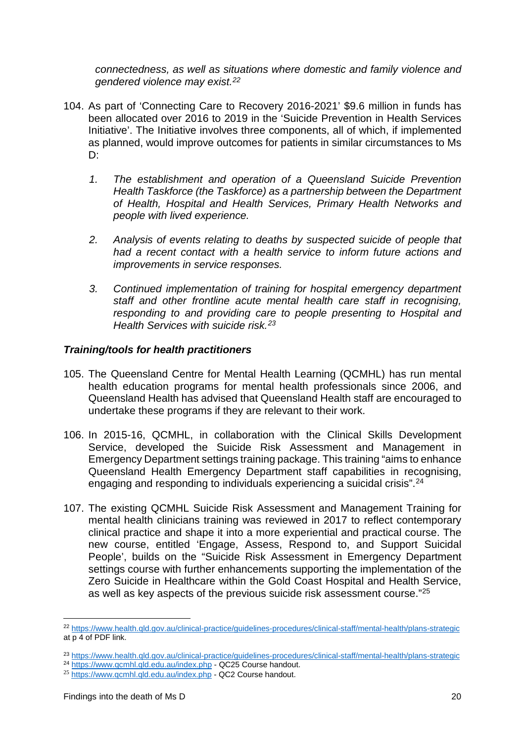*connectedness, as well as situations where domestic and family violence and gendered violence may exist.[22](#page-21-0)*

- 104. As part of 'Connecting Care to Recovery 2016-2021' \$9.6 million in funds has been allocated over 2016 to 2019 in the 'Suicide Prevention in Health Services Initiative'. The Initiative involves three components, all of which, if implemented as planned, would improve outcomes for patients in similar circumstances to Ms D:
	- *1. The establishment and operation of a Queensland Suicide Prevention Health Taskforce (the Taskforce) as a partnership between the Department of Health, Hospital and Health Services, Primary Health Networks and people with lived experience.*
	- *2. Analysis of events relating to deaths by suspected suicide of people that had a recent contact with a health service to inform future actions and improvements in service responses.*
	- *3. Continued implementation of training for hospital emergency department staff and other frontline acute mental health care staff in recognising, responding to and providing care to people presenting to Hospital and Health Services with suicide risk.[23](#page-21-1)*

#### *Training/tools for health practitioners*

- 105. The Queensland Centre for Mental Health Learning (QCMHL) has run mental health education programs for mental health professionals since 2006, and Queensland Health has advised that Queensland Health staff are encouraged to undertake these programs if they are relevant to their work.
- 106. In 2015-16, QCMHL, in collaboration with the Clinical Skills Development Service, developed the Suicide Risk Assessment and Management in Emergency Department settings training package. This training "aims to enhance Queensland Health Emergency Department staff capabilities in recognising, engaging and responding to individuals experiencing a suicidal crisis".[24](#page-21-2)
- 107. The existing QCMHL Suicide Risk Assessment and Management Training for mental health clinicians training was reviewed in 2017 to reflect contemporary clinical practice and shape it into a more experiential and practical course. The new course, entitled 'Engage, Assess, Respond to, and Support Suicidal People', builds on the "Suicide Risk Assessment in Emergency Department settings course with further enhancements supporting the implementation of the Zero Suicide in Healthcare within the Gold Coast Hospital and Health Service, as well as key aspects of the previous suicide risk assessment course."[25](#page-21-3)

<u>.</u>

<span id="page-21-0"></span><sup>22</sup> <https://www.health.qld.gov.au/clinical-practice/guidelines-procedures/clinical-staff/mental-health/plans-strategic> at p 4 of PDF link.

<span id="page-21-1"></span><sup>23</sup> <https://www.health.qld.gov.au/clinical-practice/guidelines-procedures/clinical-staff/mental-health/plans-strategic>

<span id="page-21-2"></span><sup>&</sup>lt;sup>24</sup> <https://www.qcmhl.qld.edu.au/index.php> - QC25 Course handout.

<span id="page-21-3"></span><sup>25</sup> <https://www.qcmhl.qld.edu.au/index.php> - QC2 Course handout.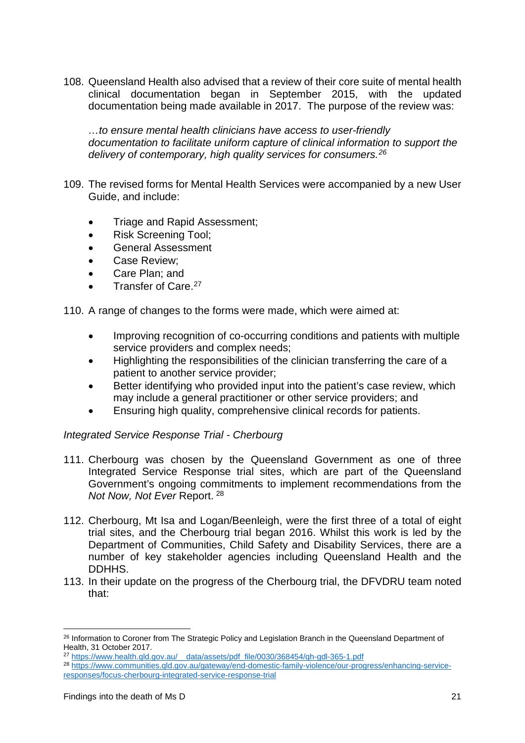108. Queensland Health also advised that a review of their core suite of mental health clinical documentation began in September 2015, with the updated documentation being made available in 2017. The purpose of the review was:

*…to ensure mental health clinicians have access to user-friendly documentation to facilitate uniform capture of clinical information to support the delivery of contemporary, high quality services for consumers.[26](#page-22-0)*

- 109. The revised forms for Mental Health Services were accompanied by a new User Guide, and include:
	- Triage and Rapid Assessment;
	- Risk Screening Tool;
	- General Assessment
	- Case Review;
	- Care Plan; and
	- Transfer of Care.<sup>[27](#page-22-1)</sup>

110. A range of changes to the forms were made, which were aimed at:

- Improving recognition of co-occurring conditions and patients with multiple service providers and complex needs;
- Highlighting the responsibilities of the clinician transferring the care of a patient to another service provider;
- Better identifying who provided input into the patient's case review, which may include a general practitioner or other service providers; and
- Ensuring high quality, comprehensive clinical records for patients.

#### *Integrated Service Response Trial - Cherbourg*

- 111. Cherbourg was chosen by the Queensland Government as one of three Integrated Service Response trial sites, which are part of the Queensland Government's ongoing commitments to implement recommendations from the *Not Now, Not Ever* Report. [28](#page-22-2)
- 112. Cherbourg, Mt Isa and Logan/Beenleigh, were the first three of a total of eight trial sites, and the Cherbourg trial began 2016. Whilst this work is led by the Department of Communities, Child Safety and Disability Services, there are a number of key stakeholder agencies including Queensland Health and the DDHHS.
- 113. In their update on the progress of the Cherbourg trial, the DFVDRU team noted that:

-

<span id="page-22-0"></span><sup>&</sup>lt;sup>26</sup> Information to Coroner from The Strategic Policy and Legislation Branch in the Queensland Department of Health, 31 October 2017.

<span id="page-22-1"></span><sup>27</sup> [https://www.health.qld.gov.au/\\_\\_data/assets/pdf\\_file/0030/368454/qh-gdl-365-1.pdf](https://www.health.qld.gov.au/__data/assets/pdf_file/0030/368454/qh-gdl-365-1.pdf)

<span id="page-22-2"></span><sup>28</sup> [https://www.communities.qld.gov.au/gateway/end-domestic-family-violence/our-progress/enhancing-service](https://www.communities.qld.gov.au/gateway/end-domestic-family-violence/our-progress/enhancing-service-responses/focus-cherbourg-integrated-service-response-trial)[responses/focus-cherbourg-integrated-service-response-trial](https://www.communities.qld.gov.au/gateway/end-domestic-family-violence/our-progress/enhancing-service-responses/focus-cherbourg-integrated-service-response-trial)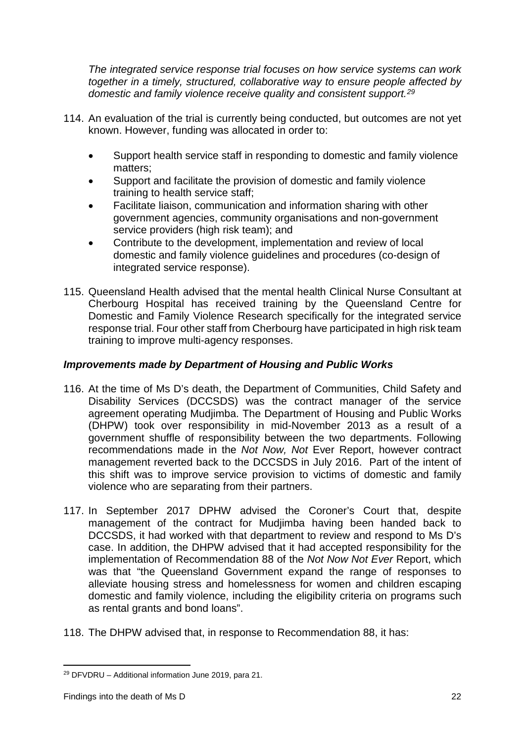*The integrated service response trial focuses on how service systems can work together in a timely, structured, collaborative way to ensure people affected by domestic and family violence receive quality and consistent support.[29](#page-23-0)* 

- 114. An evaluation of the trial is currently being conducted, but outcomes are not yet known. However, funding was allocated in order to:
	- Support health service staff in responding to domestic and family violence matters;
	- Support and facilitate the provision of domestic and family violence training to health service staff;
	- Facilitate liaison, communication and information sharing with other government agencies, community organisations and non-government service providers (high risk team); and
	- Contribute to the development, implementation and review of local domestic and family violence guidelines and procedures (co-design of integrated service response).
- 115. Queensland Health advised that the mental health Clinical Nurse Consultant at Cherbourg Hospital has received training by the Queensland Centre for Domestic and Family Violence Research specifically for the integrated service response trial. Four other staff from Cherbourg have participated in high risk team training to improve multi-agency responses.

# *Improvements made by Department of Housing and Public Works*

- 116. At the time of Ms D's death, the Department of Communities, Child Safety and Disability Services (DCCSDS) was the contract manager of the service agreement operating Mudjimba. The Department of Housing and Public Works (DHPW) took over responsibility in mid-November 2013 as a result of a government shuffle of responsibility between the two departments. Following recommendations made in the *Not Now, Not* Ever Report, however contract management reverted back to the DCCSDS in July 2016. Part of the intent of this shift was to improve service provision to victims of domestic and family violence who are separating from their partners.
- 117. In September 2017 DPHW advised the Coroner's Court that, despite management of the contract for Mudjimba having been handed back to DCCSDS, it had worked with that department to review and respond to Ms D's case. In addition, the DHPW advised that it had accepted responsibility for the implementation of Recommendation 88 of the *Not Now Not Ever* Report, which was that "the Queensland Government expand the range of responses to alleviate housing stress and homelessness for women and children escaping domestic and family violence, including the eligibility criteria on programs such as rental grants and bond loans".
- 118. The DHPW advised that, in response to Recommendation 88, it has:

<span id="page-23-0"></span><sup>29</sup> DFVDRU – Additional information June 2019, para 21. <u>.</u>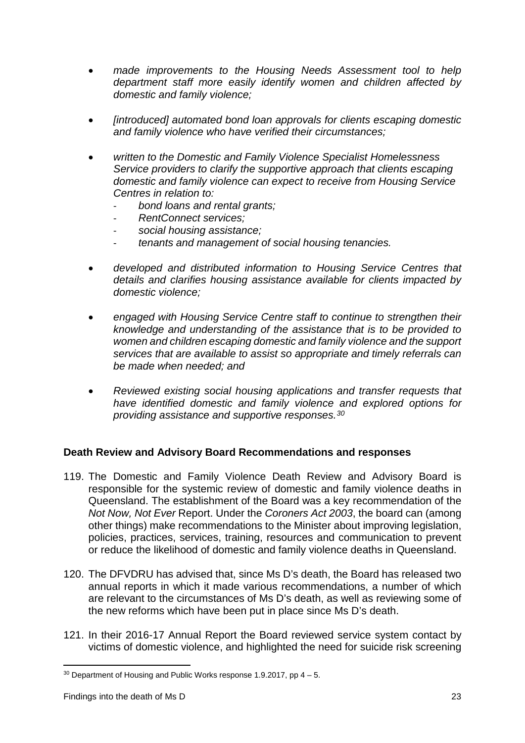- *made improvements to the Housing Needs Assessment tool to help department staff more easily identify women and children affected by domestic and family violence;*
- *[introduced] automated bond loan approvals for clients escaping domestic and family violence who have verified their circumstances;*
- *written to the Domestic and Family Violence Specialist Homelessness Service providers to clarify the supportive approach that clients escaping domestic and family violence can expect to receive from Housing Service Centres in relation to:* 
	- *bond loans and rental grants;*
	- *RentConnect services;*
	- *social housing assistance;*
	- *tenants and management of social housing tenancies.*
- *developed and distributed information to Housing Service Centres that details and clarifies housing assistance available for clients impacted by domestic violence;*
- *engaged with Housing Service Centre staff to continue to strengthen their knowledge and understanding of the assistance that is to be provided to women and children escaping domestic and family violence and the support services that are available to assist so appropriate and timely referrals can be made when needed; and*
- *Reviewed existing social housing applications and transfer requests that have identified domestic and family violence and explored options for providing assistance and supportive responses.[30](#page-24-1)*

#### <span id="page-24-0"></span>**Death Review and Advisory Board Recommendations and responses**

- 119. The Domestic and Family Violence Death Review and Advisory Board is responsible for the systemic review of domestic and family violence deaths in Queensland. The establishment of the Board was a key recommendation of the *Not Now, Not Ever* Report. Under the *Coroners Act 2003*, the board can (among other things) make recommendations to the Minister about improving legislation, policies, practices, services, training, resources and communication to prevent or reduce the likelihood of domestic and family violence deaths in Queensland.
- 120. The DFVDRU has advised that, since Ms D's death, the Board has released two annual reports in which it made various recommendations, a number of which are relevant to the circumstances of Ms D's death, as well as reviewing some of the new reforms which have been put in place since Ms D's death.
- 121. In their 2016-17 Annual Report the Board reviewed service system contact by victims of domestic violence, and highlighted the need for suicide risk screening

<span id="page-24-1"></span> $30$  Department of Housing and Public Works response 1.9.2017, pp  $4-5$ . <u>.</u>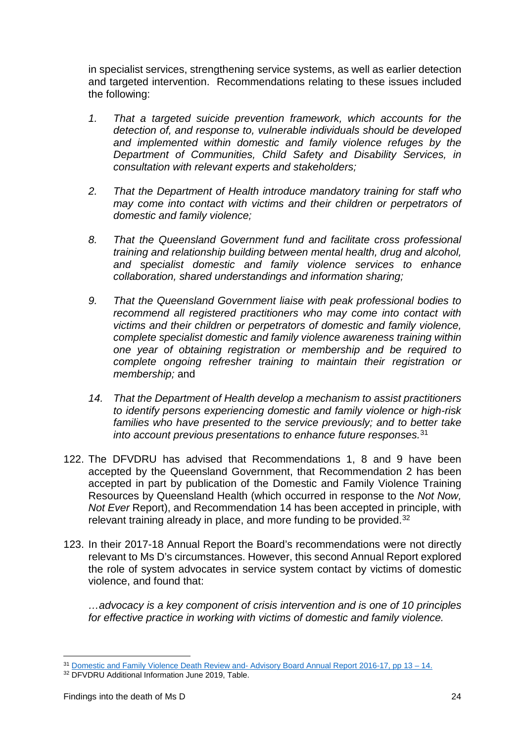in specialist services, strengthening service systems, as well as earlier detection and targeted intervention. Recommendations relating to these issues included the following:

- *1. That a targeted suicide prevention framework, which accounts for the detection of, and response to, vulnerable individuals should be developed and implemented within domestic and family violence refuges by the Department of Communities, Child Safety and Disability Services, in consultation with relevant experts and stakeholders;*
- *2. That the Department of Health introduce mandatory training for staff who may come into contact with victims and their children or perpetrators of domestic and family violence;*
- *8. That the Queensland Government fund and facilitate cross professional training and relationship building between mental health, drug and alcohol, and specialist domestic and family violence services to enhance collaboration, shared understandings and information sharing;*
- *9. That the Queensland Government liaise with peak professional bodies to recommend all registered practitioners who may come into contact with victims and their children or perpetrators of domestic and family violence, complete specialist domestic and family violence awareness training within one year of obtaining registration or membership and be required to complete ongoing refresher training to maintain their registration or membership;* and
- *14. That the Department of Health develop a mechanism to assist practitioners to identify persons experiencing domestic and family violence or high-risk*  families who have presented to the service previously; and to better take *into account previous presentations to enhance future responses.*[31](#page-25-0)
- 122. The DFVDRU has advised that Recommendations 1, 8 and 9 have been accepted by the Queensland Government, that Recommendation 2 has been accepted in part by publication of the Domestic and Family Violence Training Resources by Queensland Health (which occurred in response to the *Not Now, Not Ever* Report), and Recommendation 14 has been accepted in principle, with relevant training already in place, and more funding to be provided.<sup>[32](#page-25-1)</sup>
- 123. In their 2017-18 Annual Report the Board's recommendations were not directly relevant to Ms D's circumstances. However, this second Annual Report explored the role of system advocates in service system contact by victims of domestic violence, and found that:

*…advocacy is a key component of crisis intervention and is one of 10 principles for effective practice in working with victims of domestic and family violence.* 

<sup>31</sup> Domestic and Family Violence Death Review and- Advisory Board Annual Report 2016-17, pp 13 – 14. <u>.</u>

<span id="page-25-1"></span><span id="page-25-0"></span><sup>&</sup>lt;sup>32</sup> DFVDRU Additional Information June 2019, Table.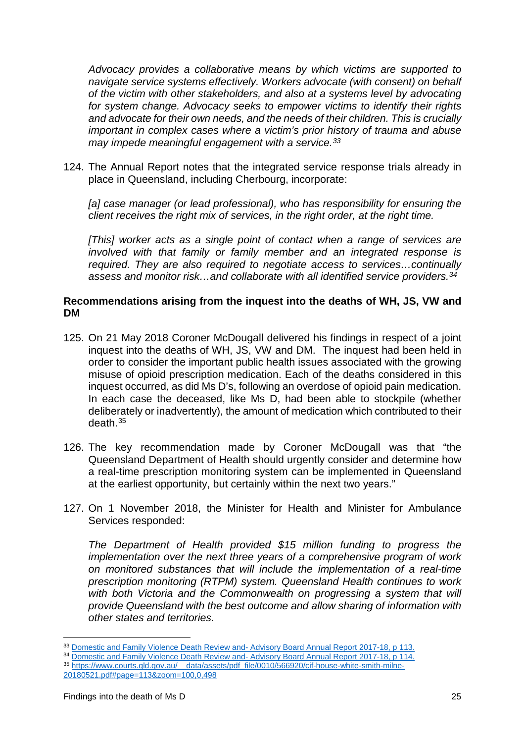*Advocacy provides a collaborative means by which victims are supported to navigate service systems effectively. Workers advocate (with consent) on behalf of the victim with other stakeholders, and also at a systems level by advocating for system change. Advocacy seeks to empower victims to identify their rights and advocate for their own needs, and the needs of their children. This is crucially important in complex cases where a victim's prior history of trauma and abuse may impede meaningful engagement with a service.[33](#page-26-1)*

124. The Annual Report notes that the integrated service response trials already in place in Queensland, including Cherbourg, incorporate:

*[a] case manager (or lead professional), who has responsibility for ensuring the client receives the right mix of services, in the right order, at the right time.* 

*[This] worker acts as a single point of contact when a range of services are involved with that family or family member and an integrated response is required. They are also required to negotiate access to services…continually assess and monitor risk…and collaborate with all identified service providers.[34](#page-26-2)*

#### <span id="page-26-0"></span>**Recommendations arising from the inquest into the deaths of WH, JS, VW and DM**

- 125. On 21 May 2018 Coroner McDougall delivered his findings in respect of a joint inquest into the deaths of WH, JS, VW and DM. The inquest had been held in order to consider the important public health issues associated with the growing misuse of opioid prescription medication. Each of the deaths considered in this inquest occurred, as did Ms D's, following an overdose of opioid pain medication. In each case the deceased, like Ms D, had been able to stockpile (whether deliberately or inadvertently), the amount of medication which contributed to their death.[35](#page-26-3)
- 126. The key recommendation made by Coroner McDougall was that "the Queensland Department of Health should urgently consider and determine how a real-time prescription monitoring system can be implemented in Queensland at the earliest opportunity, but certainly within the next two years."
- 127. On 1 November 2018, the Minister for Health and Minister for Ambulance Services responded:

*The Department of Health provided \$15 million funding to progress the implementation over the next three years of a comprehensive program of work on monitored substances that will include the implementation of a real-time prescription monitoring (RTPM) system. Queensland Health continues to work*  with both Victoria and the Commonwealth on progressing a system that will *provide Queensland with the best outcome and allow sharing of information with other states and territories.* 

<sup>34</sup> Domestic and Family Violence Death Review and- Advisory Board Annual Report 2017-18, p 114.

<u>.</u>

<span id="page-26-1"></span><sup>33</sup> Domestic and Family Violence Death Review and- Advisory Board Annual Report 2017-18, p 113.

<span id="page-26-3"></span><span id="page-26-2"></span><sup>35</sup> [https://www.courts.qld.gov.au/\\_\\_data/assets/pdf\\_file/0010/566920/cif-house-white-smith-milne-](https://www.courts.qld.gov.au/__data/assets/pdf_file/0010/566920/cif-house-white-smith-milne-20180521.pdf%23page=113&zoom=100,0,498)[20180521.pdf#page=113&zoom=100,0,498](https://www.courts.qld.gov.au/__data/assets/pdf_file/0010/566920/cif-house-white-smith-milne-20180521.pdf%23page=113&zoom=100,0,498)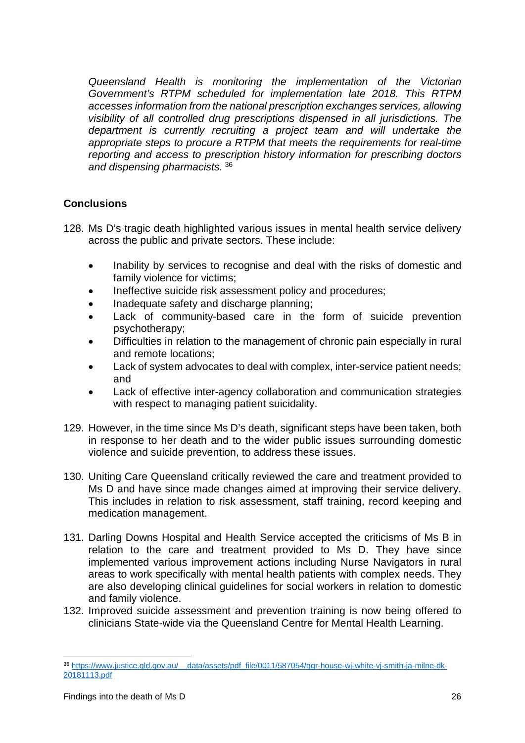*Queensland Health is monitoring the implementation of the Victorian Government's RTPM scheduled for implementation late 2018. This RTPM accesses information from the national prescription exchanges services, allowing visibility of all controlled drug prescriptions dispensed in all jurisdictions. The department is currently recruiting a project team and will undertake the appropriate steps to procure a RTPM that meets the requirements for real-time reporting and access to prescription history information for prescribing doctors and dispensing pharmacists.* [36](#page-27-1)

# <span id="page-27-0"></span>**Conclusions**

- 128. Ms D's tragic death highlighted various issues in mental health service delivery across the public and private sectors. These include:
	- Inability by services to recognise and deal with the risks of domestic and family violence for victims;
	- Ineffective suicide risk assessment policy and procedures;
	- Inadequate safety and discharge planning;
	- Lack of community-based care in the form of suicide prevention psychotherapy;
	- Difficulties in relation to the management of chronic pain especially in rural and remote locations;
	- Lack of system advocates to deal with complex, inter-service patient needs; and
	- Lack of effective inter-agency collaboration and communication strategies with respect to managing patient suicidality.
- 129. However, in the time since Ms D's death, significant steps have been taken, both in response to her death and to the wider public issues surrounding domestic violence and suicide prevention, to address these issues.
- 130. Uniting Care Queensland critically reviewed the care and treatment provided to Ms D and have since made changes aimed at improving their service delivery. This includes in relation to risk assessment, staff training, record keeping and medication management.
- 131. Darling Downs Hospital and Health Service accepted the criticisms of Ms B in relation to the care and treatment provided to Ms D. They have since implemented various improvement actions including Nurse Navigators in rural areas to work specifically with mental health patients with complex needs. They are also developing clinical guidelines for social workers in relation to domestic and family violence.
- 132. Improved suicide assessment and prevention training is now being offered to clinicians State-wide via the Queensland Centre for Mental Health Learning.

<u>.</u>

<span id="page-27-1"></span><sup>36</sup> [https://www.justice.qld.gov.au/\\_\\_data/assets/pdf\\_file/0011/587054/qgr-house-wj-white-vj-smith-ja-milne-dk-](https://www.justice.qld.gov.au/__data/assets/pdf_file/0011/587054/qgr-house-wj-white-vj-smith-ja-milne-dk-20181113.pdf)[20181113.pdf](https://www.justice.qld.gov.au/__data/assets/pdf_file/0011/587054/qgr-house-wj-white-vj-smith-ja-milne-dk-20181113.pdf)